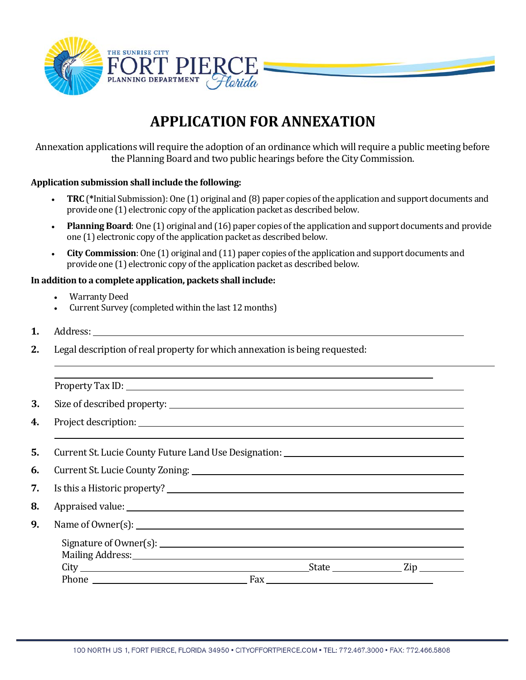

## **APPLICATION FOR ANNEXATION**

Annexation applications will require the adoption of an ordinance which will require a public meeting before the Planning Board and two public hearings before the City Commission.

## **Application submission shall include the following:**

- **TRC** (**\***Initial Submission): One (1) original and (8) paper copies of the application and support documents and provide one (1) electronic copy of the application packet as described below.
- **Planning Board**: One (1) original and (16) paper copies of the application and support documents and provide one (1) electronic copy of the application packet as described below.
- **City Commission**: One (1) original and (11) paper copies of the application and support documents and provide one (1) electronic copy of the application packet as described below.

## **In addition to a complete application, packets shall include:**

- Warranty Deed
- Current Survey (completed within the last 12 months)
- **1.** Address:

l

**2.** Legal description of real property for which annexation is being requested:

Property Tax ID:

**3.** Size of described property:

- **4.** Project description:
- **5.** Current St. Lucie County Future Land Use Designation:
- **6.** Current St. Lucie County Zoning:
- **7.** Is this a Historic property?
- **8.** Appraised value:
- **9.** Name of Owner(s):

| Signature of Owner(s): ___ |     |              |  |
|----------------------------|-----|--------------|--|
|                            |     |              |  |
|                            |     | <b>State</b> |  |
| Phone                      | Fax |              |  |